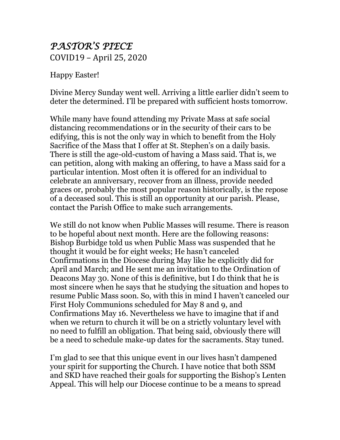## *PASTOR'S PIECE* COVID19 – April 25, 2020

Happy Easter!

Divine Mercy Sunday went well. Arriving a little earlier didn't seem to deter the determined. I'll be prepared with sufficient hosts tomorrow.

While many have found attending my Private Mass at safe social distancing recommendations or in the security of their cars to be edifying, this is not the only way in which to benefit from the Holy Sacrifice of the Mass that I offer at St. Stephen's on a daily basis. There is still the age-old-custom of having a Mass said. That is, we can petition, along with making an offering, to have a Mass said for a particular intention. Most often it is offered for an individual to celebrate an anniversary, recover from an illness, provide needed graces or, probably the most popular reason historically, is the repose of a deceased soul. This is still an opportunity at our parish. Please, contact the Parish Office to make such arrangements.

We still do not know when Public Masses will resume. There is reason to be hopeful about next month. Here are the following reasons: Bishop Burbidge told us when Public Mass was suspended that he thought it would be for eight weeks; He hasn't canceled Confirmations in the Diocese during May like he explicitly did for April and March; and He sent me an invitation to the Ordination of Deacons May 30. None of this is definitive, but I do think that he is most sincere when he says that he studying the situation and hopes to resume Public Mass soon. So, with this in mind I haven't canceled our First Holy Communions scheduled for May 8 and 9, and Confirmations May 16. Nevertheless we have to imagine that if and when we return to church it will be on a strictly voluntary level with no need to fulfill an obligation. That being said, obviously there will be a need to schedule make-up dates for the sacraments. Stay tuned.

I'm glad to see that this unique event in our lives hasn't dampened your spirit for supporting the Church. I have notice that both SSM and SKD have reached their goals for supporting the Bishop's Lenten Appeal. This will help our Diocese continue to be a means to spread